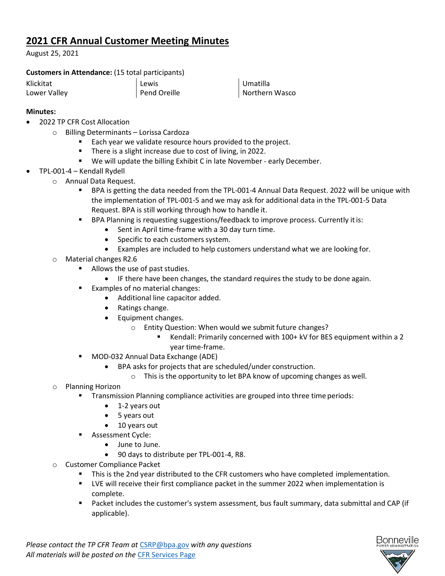## **2021 CFR Annual Customer Meeting Minutes**

August 25, 2021

## **Customers in Attendance:** (15 total participants)

| Klickitat    |  |
|--------------|--|
| Lower Valley |  |

Lewis Pend Oreille

Umatilla Northern Wasco

## **Minutes:**

- 2022 TP CFR Cost Allocation
	- o Billing Determinants Lorissa Cardoza
		- Each year we validate resource hours provided to the project.
		- **There is a slight increase due to cost of living, in 2022.**
		- We will update the billing Exhibit C in late November early December.
- TPL-001-4 Kendall Rydell
	- o Annual Data Request.
		- BPA is getting the data needed from the TPL-001-4 Annual Data Request. 2022 will be unique with the implementation of TPL-001-5 and we may ask for additional data in the TPL-001-5 Data Request. BPA is still working through how to handle it.
		- BPA Planning is requesting suggestions/feedback to improve process. Currently itis:
			- Sent in April time-frame with a 30 day turn time.
			- Specific to each customers system.
			- Examples are included to help customers understand what we are looking for.
		- o Material changes R2.6
			- **Allows the use of past studies.** 
				- IF there have been changes, the standard requires the study to be done again.
			- **Examples of no material changes:** 
				- Additional line capacitor added.
				- Ratings change.
				- Equipment changes.
					- o Entity Question: When would we submit future changes?
						- Kendall: Primarily concerned with 100+ kV for BES equipment within a 2 year time-frame.
			- **MOD-032 Annual Data Exchange (ADE)** 
				- BPA asks for projects that are scheduled/under construction.
					- o This is the opportunity to let BPA know of upcoming changes as well.
		- o Planning Horizon
			- **Transmission Planning compliance activities are grouped into three time periods:** 
				- 1-2 years out
				- 5 years out
				- 10 years out
			- **Assessment Cycle:** 
				- June to June.
				- 90 days to distribute per TPL-001-4, R8.
		- o Customer Compliance Packet
			- **This is the 2nd year distributed to the CFR customers who have completed implementation.**
			- **UVE will receive their first compliance packet in the summer 2022 when implementation is** complete.
			- Packet includes the customer's system assessment, bus fault summary, data submittal and CAP (if applicable).